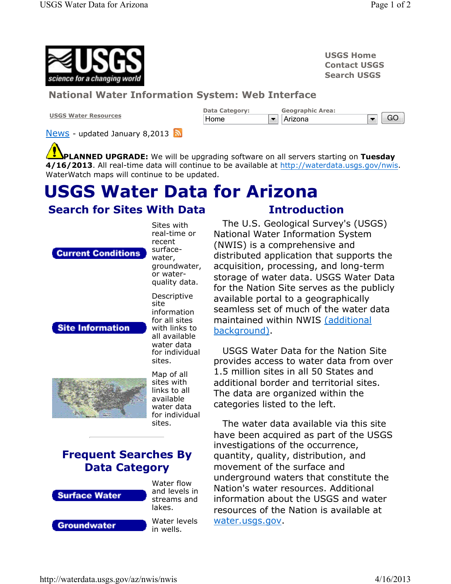

USGS Home Contact USGS Search USGS

#### National Water Information System: Web Interface

USGS Water Resources



**News** - updated January 8,2013

**PLANNED UPGRADE:** We will be upgrading software on all servers starting on Tuesday 4/16/2013. All real-time data will continue to be available at http://waterdata.usgs.gov/nwis. WaterWatch maps will continue to be updated.

# USGS Water Data for Arizona

Sites with

### Search for Sites With Data

**Current Conditions** 

real-time or recent surfacewater, groundwater, or waterquality data. Descriptive site information for all sites with links to all available water data for individual sites.





Map of all sites with links to all available water data for individual sites.

# Frequent Searches By Data Category



Water flow and levels in streams and lakes.

**Groundwater** 

Water levels in wells.

## Introduction

The U.S. Geological Survey's (USGS) National Water Information System (NWIS) is a comprehensive and distributed application that supports the acquisition, processing, and long-term storage of water data. USGS Water Data for the Nation Site serves as the publicly available portal to a geographically seamless set of much of the water data maintained within NWIS (additional background).

USGS Water Data for the Nation Site provides access to water data from over 1.5 million sites in all 50 States and additional border and territorial sites. The data are organized within the categories listed to the left.

The water data available via this site have been acquired as part of the USGS investigations of the occurrence, quantity, quality, distribution, and movement of the surface and underground waters that constitute the Nation's water resources. Additional information about the USGS and water resources of the Nation is available at water.usgs.gov.